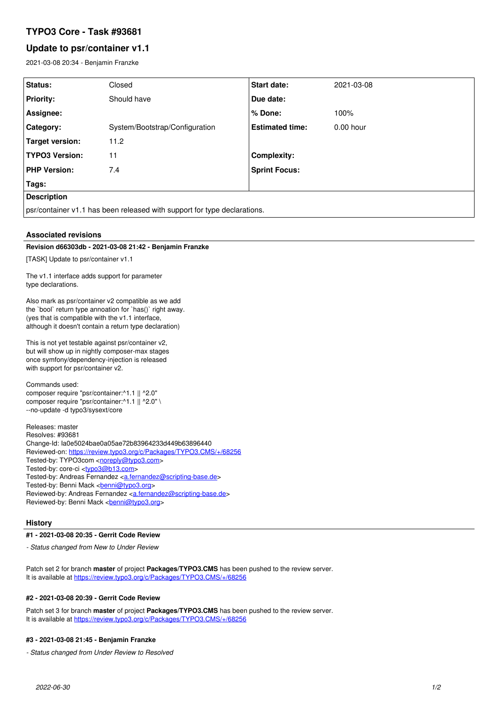# **TYPO3 Core - Task #93681**

# **Update to psr/container v1.1**

2021-03-08 20:34 - Benjamin Franzke

| Status:                                                                  | Closed                         | <b>Start date:</b>     | 2021-03-08  |
|--------------------------------------------------------------------------|--------------------------------|------------------------|-------------|
| <b>Priority:</b>                                                         | Should have                    | Due date:              |             |
| Assignee:                                                                |                                | ∣% Done:               | 100%        |
| Category:                                                                | System/Bootstrap/Configuration | <b>Estimated time:</b> | $0.00$ hour |
| Target version:                                                          | 11.2                           |                        |             |
| <b>TYPO3 Version:</b>                                                    | 11                             | <b>Complexity:</b>     |             |
| <b>PHP Version:</b>                                                      | 7.4                            | <b>Sprint Focus:</b>   |             |
| Tags:                                                                    |                                |                        |             |
| <b>Description</b>                                                       |                                |                        |             |
| psr/container v1.1 has been released with support for type declarations. |                                |                        |             |

### **Associated revisions**

#### **Revision d66303db - 2021-03-08 21:42 - Benjamin Franzke**

[TASK] Update to psr/container v1.1

The v1.1 interface adds support for parameter type declarations.

Also mark as psr/container v2 compatible as we add the `bool` return type annoation for `has()` right away. (yes that is compatible with the v1.1 interface, although it doesn't contain a return type declaration)

This is not yet testable against psr/container v2, but will show up in nightly composer-max stages once symfony/dependency-injection is released with support for psr/container v2.

Commands used: composer require "psr/container:^1.1 || ^2.0" composer require "psr/container:^1.1 || ^2.0" \ --no-update -d typo3/sysext/core

Releases: master Resolves: #93681 Change-Id: Ia0e5024bae0a05ae72b83964233d449b63896440 Reviewed-on:<https://review.typo3.org/c/Packages/TYPO3.CMS/+/68256> Tested-by: TYPO3com [<noreply@typo3.com>](mailto:noreply@typo3.com) Tested-by: core-ci [<typo3@b13.com](mailto:typo3@b13.com)> Tested-by: Andreas Fernandez [<a.fernandez@scripting-base.de>](mailto:a.fernandez@scripting-base.de) Tested-by: Benni Mack <br />
conni@typo3.org> Reviewed-by: Andreas Fernandez [<a.fernandez@scripting-base.de](mailto:a.fernandez@scripting-base.de)> Reviewed-by: Benni Mack <br/> <br/><u>benni@typo3.org</u>>

#### **History**

#### **#1 - 2021-03-08 20:35 - Gerrit Code Review**

*- Status changed from New to Under Review*

Patch set 2 for branch **master** of project **Packages/TYPO3.CMS** has been pushed to the review server. It is available at <https://review.typo3.org/c/Packages/TYPO3.CMS/+/68256>

### **#2 - 2021-03-08 20:39 - Gerrit Code Review**

Patch set 3 for branch **master** of project **Packages/TYPO3.CMS** has been pushed to the review server. It is available at <https://review.typo3.org/c/Packages/TYPO3.CMS/+/68256>

#### **#3 - 2021-03-08 21:45 - Benjamin Franzke**

*- Status changed from Under Review to Resolved*